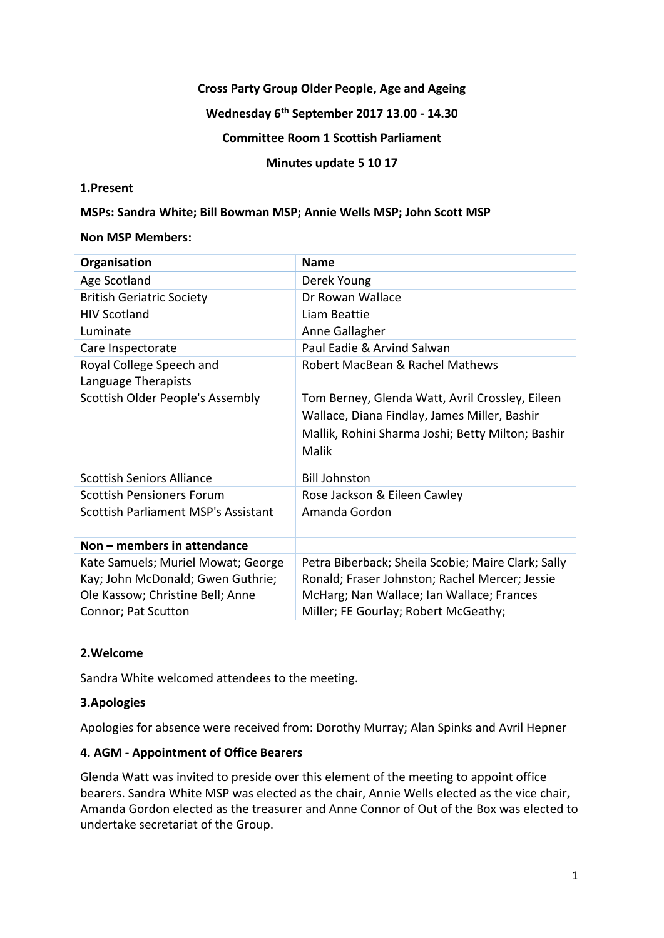## **Cross Party Group Older People, Age and Ageing**

## **Wednesday 6th September 2017 13.00 - 14.30**

#### **Committee Room 1 Scottish Parliament**

#### **Minutes update 5 10 17**

#### **1.Present**

#### **MSPs: Sandra White; Bill Bowman MSP; Annie Wells MSP; John Scott MSP**

#### **Non MSP Members:**

| Organisation                                    | <b>Name</b>                                                                                                                                                   |
|-------------------------------------------------|---------------------------------------------------------------------------------------------------------------------------------------------------------------|
| Age Scotland                                    | Derek Young                                                                                                                                                   |
| <b>British Geriatric Society</b>                | Dr Rowan Wallace                                                                                                                                              |
| <b>HIV Scotland</b>                             | Liam Beattie                                                                                                                                                  |
| Luminate                                        | Anne Gallagher                                                                                                                                                |
| Care Inspectorate                               | Paul Eadie & Arvind Salwan                                                                                                                                    |
| Royal College Speech and<br>Language Therapists | Robert MacBean & Rachel Mathews                                                                                                                               |
| Scottish Older People's Assembly                | Tom Berney, Glenda Watt, Avril Crossley, Eileen<br>Wallace, Diana Findlay, James Miller, Bashir<br>Mallik, Rohini Sharma Joshi; Betty Milton; Bashir<br>Malik |
| <b>Scottish Seniors Alliance</b>                | <b>Bill Johnston</b>                                                                                                                                          |
| <b>Scottish Pensioners Forum</b>                | Rose Jackson & Eileen Cawley                                                                                                                                  |
| Scottish Parliament MSP's Assistant             | Amanda Gordon                                                                                                                                                 |
|                                                 |                                                                                                                                                               |
| Non - members in attendance                     |                                                                                                                                                               |
| Kate Samuels; Muriel Mowat; George              | Petra Biberback; Sheila Scobie; Maire Clark; Sally                                                                                                            |
| Kay; John McDonald; Gwen Guthrie;               | Ronald; Fraser Johnston; Rachel Mercer; Jessie                                                                                                                |
| Ole Kassow; Christine Bell; Anne                | McHarg; Nan Wallace; Ian Wallace; Frances                                                                                                                     |
| Connor; Pat Scutton                             | Miller; FE Gourlay; Robert McGeathy;                                                                                                                          |

## **2.Welcome**

Sandra White welcomed attendees to the meeting.

## **3.Apologies**

Apologies for absence were received from: Dorothy Murray; Alan Spinks and Avril Hepner

## **4. AGM - Appointment of Office Bearers**

Glenda Watt was invited to preside over this element of the meeting to appoint office bearers. Sandra White MSP was elected as the chair, Annie Wells elected as the vice chair, Amanda Gordon elected as the treasurer and Anne Connor of Out of the Box was elected to undertake secretariat of the Group.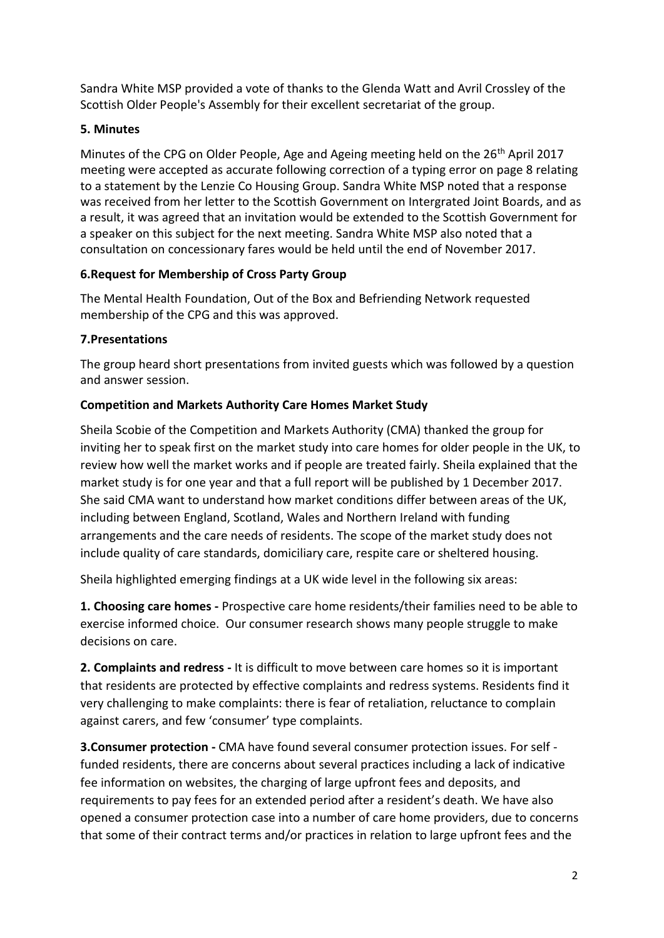Sandra White MSP provided a vote of thanks to the Glenda Watt and Avril Crossley of the Scottish Older People's Assembly for their excellent secretariat of the group.

# **5. Minutes**

Minutes of the CPG on Older People, Age and Ageing meeting held on the 26<sup>th</sup> April 2017 meeting were accepted as accurate following correction of a typing error on page 8 relating to a statement by the Lenzie Co Housing Group. Sandra White MSP noted that a response was received from her letter to the Scottish Government on Intergrated Joint Boards, and as a result, it was agreed that an invitation would be extended to the Scottish Government for a speaker on this subject for the next meeting. Sandra White MSP also noted that a consultation on concessionary fares would be held until the end of November 2017.

# **6.Request for Membership of Cross Party Group**

The Mental Health Foundation, Out of the Box and Befriending Network requested membership of the CPG and this was approved.

# **7.Presentations**

The group heard short presentations from invited guests which was followed by a question and answer session.

# **Competition and Markets Authority Care Homes Market Study**

Sheila Scobie of the Competition and Markets Authority (CMA) thanked the group for inviting her to speak first on the market study into care homes for older people in the UK, to review how well the market works and if people are treated fairly. Sheila explained that the market study is for one year and that a full report will be published by 1 December 2017. She said CMA want to understand how market conditions differ between areas of the UK, including between England, Scotland, Wales and Northern Ireland with funding arrangements and the care needs of residents. The scope of the market study does not include quality of care standards, domiciliary care, respite care or sheltered housing.

Sheila highlighted emerging findings at a UK wide level in the following six areas:

**1. Choosing care homes -** Prospective care home residents/their families need to be able to exercise informed choice. Our consumer research shows many people struggle to make decisions on care.

**2. Complaints and redress -** It is difficult to move between care homes so it is important that residents are protected by effective complaints and redress systems. Residents find it very challenging to make complaints: there is fear of retaliation, reluctance to complain against carers, and few 'consumer' type complaints.

**3.Consumer protection -** CMA have found several consumer protection issues. For self funded residents, there are concerns about several practices including a lack of indicative fee information on websites, the charging of large upfront fees and deposits, and requirements to pay fees for an extended period after a resident's death. We have also opened a consumer protection case into a number of care home providers, due to concerns that some of their contract terms and/or practices in relation to large upfront fees and the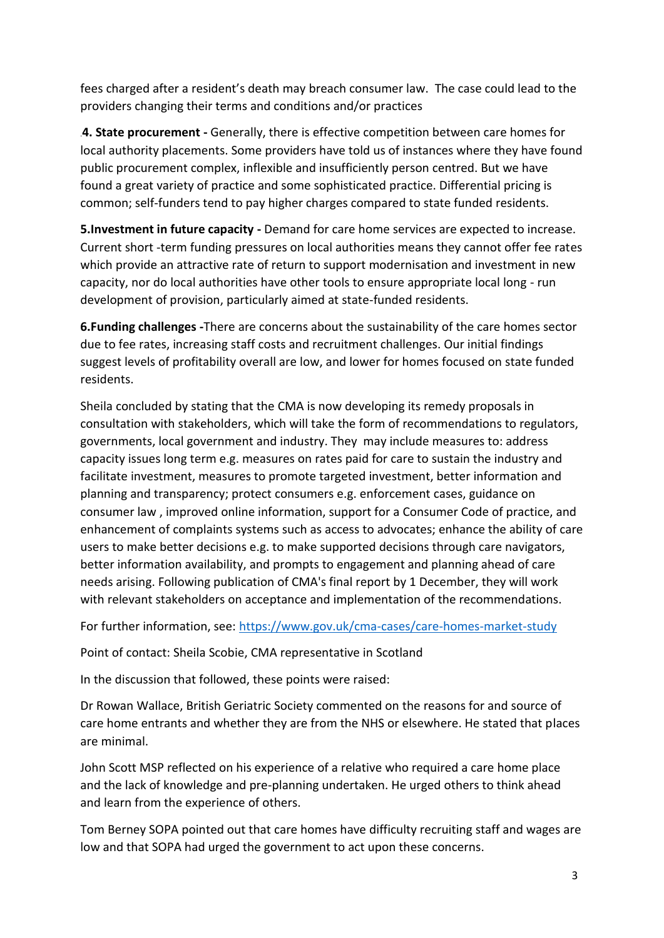fees charged after a resident's death may breach consumer law. The case could lead to the providers changing their terms and conditions and/or practices

.**4. State procurement -** Generally, there is effective competition between care homes for local authority placements. Some providers have told us of instances where they have found public procurement complex, inflexible and insufficiently person centred. But we have found a great variety of practice and some sophisticated practice. Differential pricing is common; self-funders tend to pay higher charges compared to state funded residents.

**5.Investment in future capacity -** Demand for care home services are expected to increase. Current short -term funding pressures on local authorities means they cannot offer fee rates which provide an attractive rate of return to support modernisation and investment in new capacity, nor do local authorities have other tools to ensure appropriate local long - run development of provision, particularly aimed at state-funded residents.

**6.Funding challenges -**There are concerns about the sustainability of the care homes sector due to fee rates, increasing staff costs and recruitment challenges. Our initial findings suggest levels of profitability overall are low, and lower for homes focused on state funded residents.

Sheila concluded by stating that the CMA is now developing its remedy proposals in consultation with stakeholders, which will take the form of recommendations to regulators, governments, local government and industry. They may include measures to: address capacity issues long term e.g. measures on rates paid for care to sustain the industry and facilitate investment, measures to promote targeted investment, better information and planning and transparency; protect consumers e.g. enforcement cases, guidance on consumer law , improved online information, support for a Consumer Code of practice, and enhancement of complaints systems such as access to advocates; enhance the ability of care users to make better decisions e.g. to make supported decisions through care navigators, better information availability, and prompts to engagement and planning ahead of care needs arising. Following publication of CMA's final report by 1 December, they will work with relevant stakeholders on acceptance and implementation of the recommendations.

For further information, see:<https://www.gov.uk/cma-cases/care-homes-market-study>

Point of contact: Sheila Scobie, CMA representative in Scotland

In the discussion that followed, these points were raised:

Dr Rowan Wallace, British Geriatric Society commented on the reasons for and source of care home entrants and whether they are from the NHS or elsewhere. He stated that places are minimal.

John Scott MSP reflected on his experience of a relative who required a care home place and the lack of knowledge and pre-planning undertaken. He urged others to think ahead and learn from the experience of others.

Tom Berney SOPA pointed out that care homes have difficulty recruiting staff and wages are low and that SOPA had urged the government to act upon these concerns.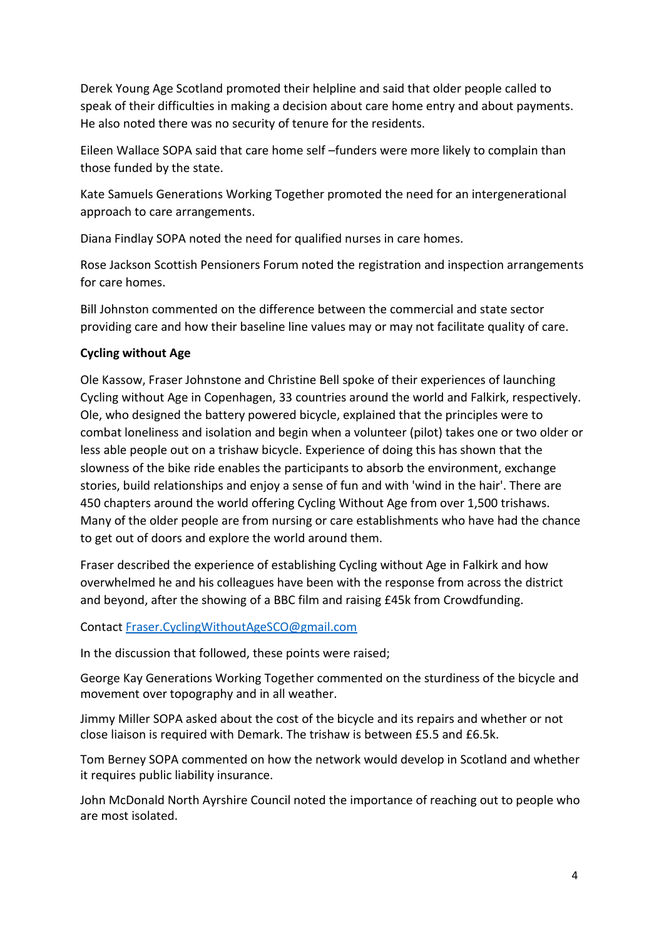Derek Young Age Scotland promoted their helpline and said that older people called to speak of their difficulties in making a decision about care home entry and about payments. He also noted there was no security of tenure for the residents.

Eileen Wallace SOPA said that care home self –funders were more likely to complain than those funded by the state.

Kate Samuels Generations Working Together promoted the need for an intergenerational approach to care arrangements.

Diana Findlay SOPA noted the need for qualified nurses in care homes.

Rose Jackson Scottish Pensioners Forum noted the registration and inspection arrangements for care homes.

Bill Johnston commented on the difference between the commercial and state sector providing care and how their baseline line values may or may not facilitate quality of care.

# **Cycling without Age**

Ole Kassow, Fraser Johnstone and Christine Bell spoke of their experiences of launching Cycling without Age in Copenhagen, 33 countries around the world and Falkirk, respectively. Ole, who designed the battery powered bicycle, explained that the principles were to combat loneliness and isolation and begin when a volunteer (pilot) takes one or two older or less able people out on a trishaw bicycle. Experience of doing this has shown that the slowness of the bike ride enables the participants to absorb the environment, exchange stories, build relationships and enjoy a sense of fun and with 'wind in the hair'. There are 450 chapters around the world offering Cycling Without Age from over 1,500 trishaws. Many of the older people are from nursing or care establishments who have had the chance to get out of doors and explore the world around them.

Fraser described the experience of establishing Cycling without Age in Falkirk and how overwhelmed he and his colleagues have been with the response from across the district and beyond, after the showing of a BBC film and raising £45k from Crowdfunding.

## Contac[t Fraser.CyclingWithoutAgeSCO@gmail.com](mailto:Fraser.CyclingWithoutAgeSCO@gmail.com)

In the discussion that followed, these points were raised;

George Kay Generations Working Together commented on the sturdiness of the bicycle and movement over topography and in all weather.

Jimmy Miller SOPA asked about the cost of the bicycle and its repairs and whether or not close liaison is required with Demark. The trishaw is between £5.5 and £6.5k.

Tom Berney SOPA commented on how the network would develop in Scotland and whether it requires public liability insurance.

John McDonald North Ayrshire Council noted the importance of reaching out to people who are most isolated.